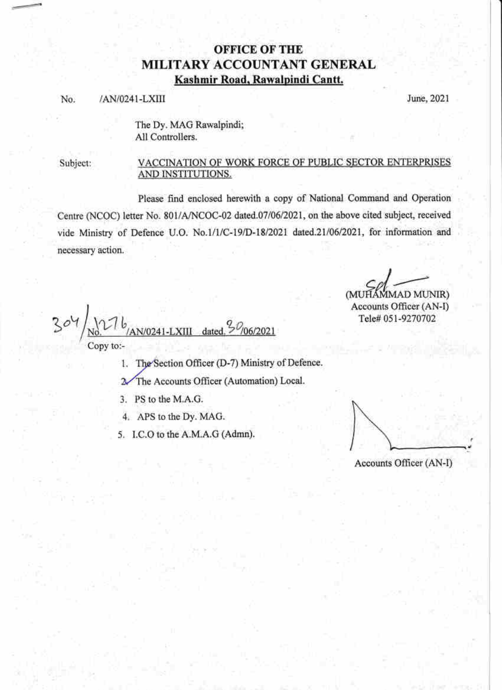## **OFFICE OF THE** MILITARY ACCOUNTANT GENERAL Kashmir Road, Rawalpindi Cantt.

#### No. /AN/0241-LXIII June, 2021

The Dy. MAG Rawalpindi; All Controllers.

Subject:

#### VACCINATION OF WORK FORCE OF PUBLIC SECTOR ENTERPRISES AND INSTITUTIONS.

Please find enclosed herewith a copy of National Command and Operation Centre (NCOC) letter No. 801/A/NCOC-02 dated.07/06/2021, on the above cited subject, received vide Ministry of Defence U.O. No.1/1/C-19/D-18/2021 dated.21/06/2021, for information and necessary action.

(MUHAMMAD MUNIR)

Accounts Officer (AN-I) Tele# 051-9270702

 $3^\circ$  $\sigma$ {,7 V0241-LXIII Copy to:-

- 1. The Section Officer (D-7) Ministry of Defence.
- 2 The Accounts Officer (Automation) Local.
- 3. PS to the M.A.G.
- 4, APS to the Dy. MAG.
- 5. I.C.O to the A.M.A.G (Admn).

Accounts Officer (AN-I)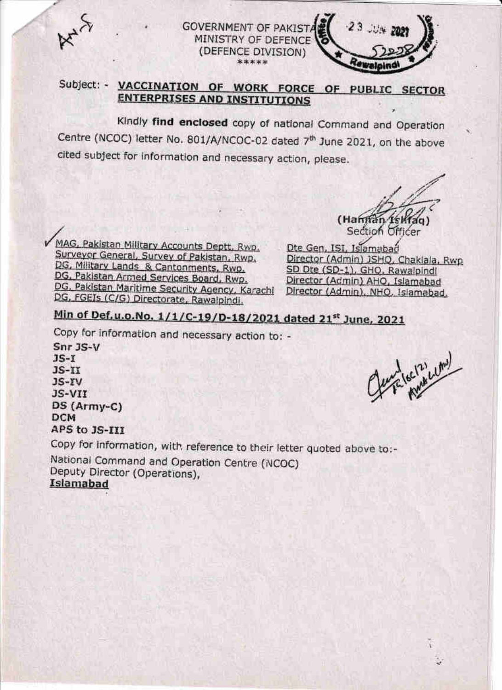

**GOVERNMENT OF PAKISTA** MINISTRY OF DEFENCE (DEFENCE DIVISION) \*\*\*\*\*

### Subject: - VACCINATION OF WORK FORCE OF PUBLIC SECTOR **ENTERPRISES AND INSTITUTIONS**

Kindly find enclosed copy of national Command and Operation Centre (NCOC) letter No. 801/A/NCOC-02 dated 7<sup>th</sup> June 2021, on the above cited subject for information and necessary action, please.

(Hannan Section Officer

MAG, Pakistan Military Accounts Deptt, Rwp. Surveyor General, Survey of Pakistan, Rwp. DG, Military Lands & Cantonments, Rwp. DG, Pakistan Armed Services Board, Rwp. DG, Pakistan Maritime Security Agency, Karachi DG, FGEIs (C/G) Directorate, Rawalpindi.

Dte Gen, ISI, Islamabad Director (Admin) JSHO, Chaklala, Rwp SD Dte (SD-1), GHO, Rawalpindi Director (Admin) AHO, Islamabad Director (Admin), NHQ, Islamabad,

 $23:$ 

# Min of Def.u.o.No. 1/1/C-19/D-18/2021 dated 21st June, 2021

Copy for information and necessary action to: -

 $Snr$  3 $S-V$  $JS-T$  $JS-TI$  $JS-YV$ JS-VII DS (Army-C) **DCM** APS to JS-III

fendlec/2) cime

Copy for information, with reference to their letter quoted above to:-

National Command and Operation Centre (NCOC) Deputy Director (Operations), Islamabad

X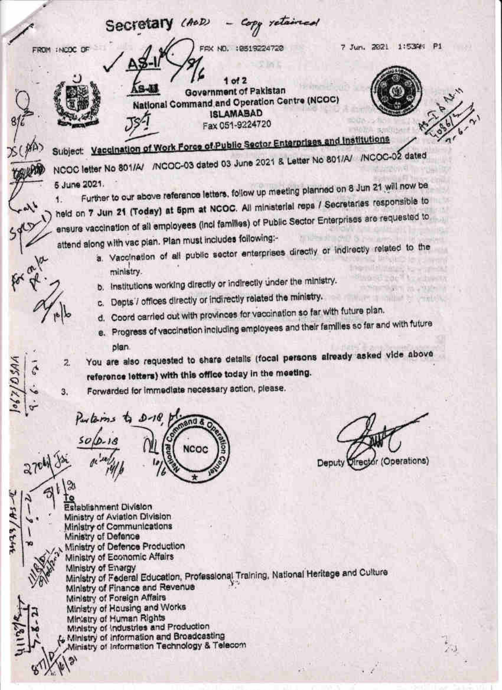Secretary (AoD) 7 Jun. 2021 1:5394 P1 FROM INCOC OF FAX NO. : 0519224720  $ot 2$ **Government of Pakistan National Command and Operation Centre (NCOC) ISLAMABAD** Fax 051-9224720 Subject: Vaccination of Work Force of Public Sector Enterprises and Institutions NCOC letter No 801/A/ / NCOC-03 dated 03 June 2021 & Letter No 801/A/ /NCOC-02 dated Further to our above reference letters, follow up meeting planned on 8 Jun 21 will now be 5 June 2021. held on 7 Jun 21 (Today) at 5pm at NCOC. All ministerial reps / Secretaries responsible to ensure vaccination of all employees (incl families) of Public Sector Enterprises are requested to attend along with vac pian. Plan must includes following:a. Vaccination of all public sector enterprises directly or indirectly related to the ministry. b. Institutions working directly or indirectly under the ministry. c. Depts / offices directly or indirectly related the ministry. mitted in million or wealthy d. Coord carried out with provinces for vaccination so far with future plan. e. Progress of vaccination including employees and their families so far and with future plan. You are also requested to share details (focal persons already asked vide above  $\overline{z}$ reference letters) with this office today in the meeting. Forwarded for immediate necessary action, please. 3.  $\sigma$  $P_{\text{av}}$  terms to D-18 NCOC Trector (Operations)  $270$ **Deputy** Establishment Division  $318/143$ Ministry of Aviation Division Ministry of Communications Ministry of Defence Ministry of Defence Production Ministry of Economic Affairs Ministry of Enargy Ministry of Federal Education, Professional Training, National Heritage and Culture Ministry of Finance and Revenue Ministry of Foreign Affairs Ministry of Housing and Works Ministry of Human Rights Ministry of Industries and Production Ministry of Information and Broadcasting Ministry of Information Technology & Telecom